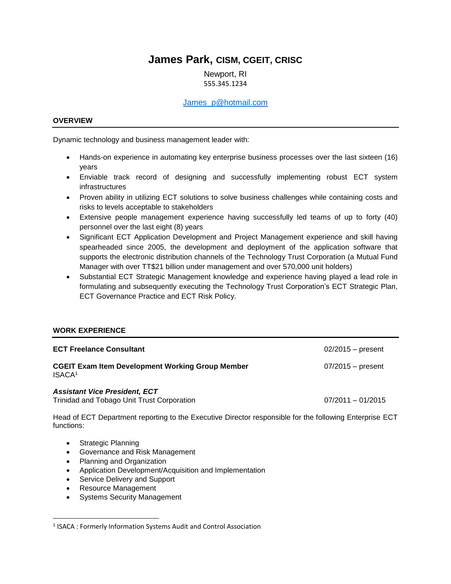# **James Park, CISM, CGEIT, CRISC**

Newport, RI 555.345.1234

#### [James\\_p@hotmail.com](mailto:James_p@hotmail.com)

#### **OVERVIEW**

Dynamic technology and business management leader with:

- Hands-on experience in automating key enterprise business processes over the last sixteen (16) years
- Enviable track record of designing and successfully implementing robust ECT system infrastructures
- Proven ability in utilizing ECT solutions to solve business challenges while containing costs and risks to levels acceptable to stakeholders
- Extensive people management experience having successfully led teams of up to forty (40) personnel over the last eight (8) years
- Significant ECT Application Development and Project Management experience and skill having spearheaded since 2005, the development and deployment of the application software that supports the electronic distribution channels of the Technology Trust Corporation (a Mutual Fund Manager with over TT\$21 billion under management and over 570,000 unit holders)
- Substantial ECT Strategic Management knowledge and experience having played a lead role in formulating and subsequently executing the Technology Trust Corporation's ECT Strategic Plan, ECT Governance Practice and ECT Risk Policy.

## **WORK EXPERIENCE**

| <b>ECT Freelance Consultant</b>                                                    | $02/2015 -$ present |
|------------------------------------------------------------------------------------|---------------------|
| <b>CGEIT Exam Item Development Working Group Member</b><br>ISACA <sup>1</sup>      | $07/2015$ – present |
| <b>Assistant Vice President, ECT</b><br>Trinidad and Tobago Unit Trust Corporation | $07/2011 - 01/2015$ |

Head of ECT Department reporting to the Executive Director responsible for the following Enterprise ECT functions:

• Strategic Planning

 $\overline{a}$ 

- Governance and Risk Management
- Planning and Organization
- Application Development/Acquisition and Implementation
- Service Delivery and Support
- Resource Management
- Systems Security Management

<sup>&</sup>lt;sup>1</sup> ISACA : Formerly Information Systems Audit and Control Association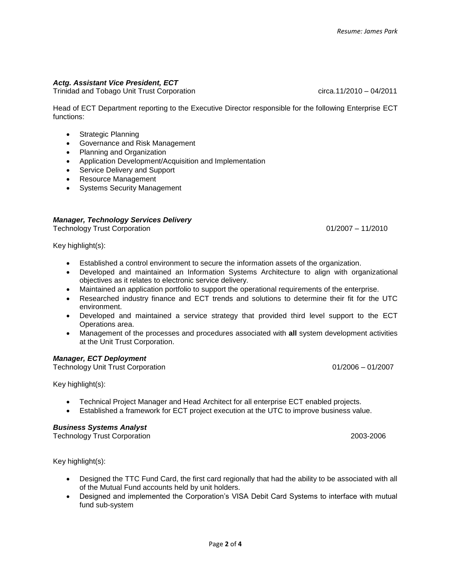# *Actg. Assistant Vice President, ECT*

Trinidad and Tobago Unit Trust Corporation **company** circa.11/2010 – 04/2011

Head of ECT Department reporting to the Executive Director responsible for the following Enterprise ECT functions:

- Strategic Planning
- Governance and Risk Management
- Planning and Organization
- Application Development/Acquisition and Implementation
- Service Delivery and Support
- Resource Management
- Systems Security Management

#### *Manager, Technology Services Delivery*

Technology Trust Corporation **Department Community** Control of the Control of the Control of the Control of the Control of the Control of the Control of the Control of the Control of the Control of the Control of the Contr

Key highlight(s):

- Established a control environment to secure the information assets of the organization.
- Developed and maintained an Information Systems Architecture to align with organizational objectives as it relates to electronic service delivery.
- Maintained an application portfolio to support the operational requirements of the enterprise.
- Researched industry finance and ECT trends and solutions to determine their fit for the UTC environment.
- Developed and maintained a service strategy that provided third level support to the ECT Operations area.
- Management of the processes and procedures associated with **all** system development activities at the Unit Trust Corporation.

#### *Manager, ECT Deployment*

Technology Unit Trust Corporation **Department Community** Control Control Control Control Control Control Control Control Control Control Control Control Control Control Control Control Control Control Control Control Contr

Key highlight(s):

- Technical Project Manager and Head Architect for all enterprise ECT enabled projects.
- Established a framework for ECT project execution at the UTC to improve business value.

#### *Business Systems Analyst*

Technology Trust Corporation 2003-2006

Key highlight(s):

- Designed the TTC Fund Card, the first card regionally that had the ability to be associated with all of the Mutual Fund accounts held by unit holders.
- Designed and implemented the Corporation's VISA Debit Card Systems to interface with mutual fund sub-system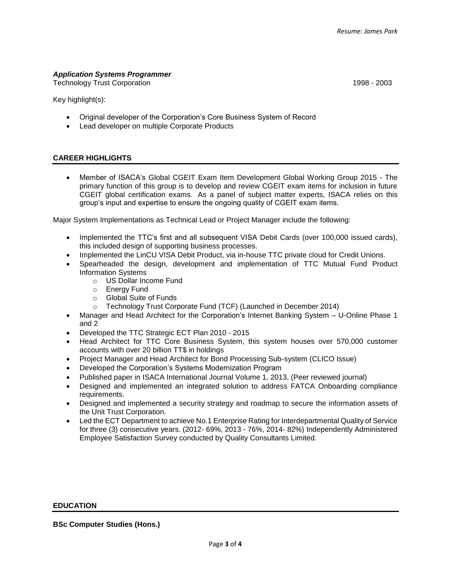## *Application Systems Programmer*

Technology Trust Corporation 1998 - 2003

Key highlight(s):

- Original developer of the Corporation's Core Business System of Record
- Lead developer on multiple Corporate Products

#### **CAREER HIGHLIGHTS**

 Member of ISACA's Global CGEIT Exam Item Development Global Working Group 2015 - The primary function of this group is to develop and review CGEIT exam items for inclusion in future CGEIT global certification exams. As a panel of subject matter experts, ISACA relies on this group's input and expertise to ensure the ongoing quality of CGEIT exam items.

Major System Implementations as Technical Lead or Project Manager include the following:

- Implemented the TTC's first and all subsequent VISA Debit Cards (over 100,000 issued cards), this included design of supporting business processes.
- Implemented the LinCU VISA Debit Product, via in-house TTC private cloud for Credit Unions.
- Spearheaded the design, development and implementation of TTC Mutual Fund Product Information Systems
	- o US Dollar Income Fund
	- o Energy Fund
	- o Global Suite of Funds
	- o Technology Trust Corporate Fund (TCF) (Launched in December 2014)
- Manager and Head Architect for the Corporation's Internet Banking System U-Online Phase 1 and 2
- Developed the TTC Strategic ECT Plan 2010 2015
- Head Architect for TTC Core Business System, this system houses over 570,000 customer accounts with over 20 billion TT\$ in holdings
- Project Manager and Head Architect for Bond Processing Sub-system (CLICO Issue)
- Developed the Corporation's Systems Modernization Program
- Published paper in ISACA International Journal Volume 1, 2013, (Peer reviewed journal)
- Designed and implemented an integrated solution to address FATCA Onboarding compliance requirements.
- Designed and implemented a security strategy and roadmap to secure the information assets of the Unit Trust Corporation.
- Led the ECT Department to achieve No.1 Enterprise Rating for Interdepartmental Quality of Service for three (3) consecutive years. (2012- 69%, 2013 - 76%, 2014- 82%) Independently Administered Employee Satisfaction Survey conducted by Quality Consultants Limited.

#### **EDUCATION**

**BSc Computer Studies (Hons.)**